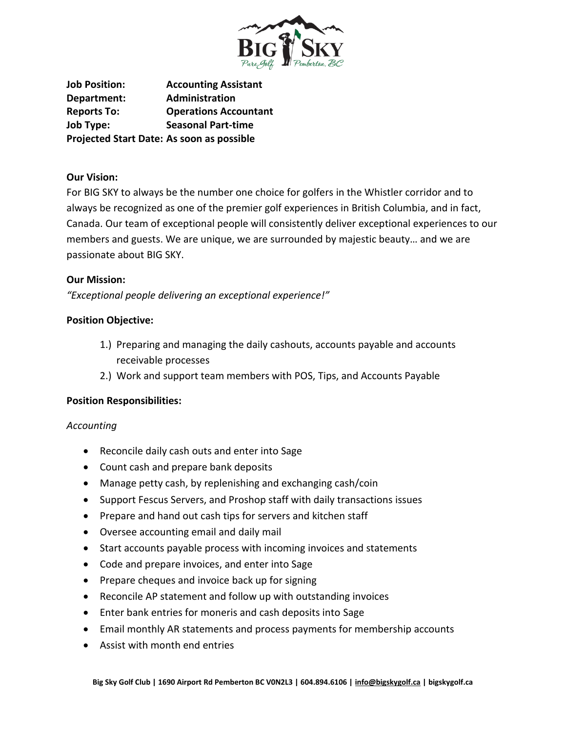

**Job Position: Accounting Assistant Department: Administration Reports To: Operations Accountant Job Type: Seasonal Part-time Projected Start Date: As soon as possible**

# **Our Vision:**

For BIG SKY to always be the number one choice for golfers in the Whistler corridor and to always be recognized as one of the premier golf experiences in British Columbia, and in fact, Canada. Our team of exceptional people will consistently deliver exceptional experiences to our members and guests. We are unique, we are surrounded by majestic beauty… and we are passionate about BIG SKY.

# **Our Mission:**

*"Exceptional people delivering an exceptional experience!"*

# **Position Objective:**

- 1.) Preparing and managing the daily cashouts, accounts payable and accounts receivable processes
- 2.) Work and support team members with POS, Tips, and Accounts Payable

### **Position Responsibilities:**

### *Accounting*

- Reconcile daily cash outs and enter into Sage
- Count cash and prepare bank deposits
- Manage petty cash, by replenishing and exchanging cash/coin
- Support Fescus Servers, and Proshop staff with daily transactions issues
- Prepare and hand out cash tips for servers and kitchen staff
- Oversee accounting email and daily mail
- Start accounts payable process with incoming invoices and statements
- Code and prepare invoices, and enter into Sage
- Prepare cheques and invoice back up for signing
- Reconcile AP statement and follow up with outstanding invoices
- Enter bank entries for moneris and cash deposits into Sage
- Email monthly AR statements and process payments for membership accounts
- Assist with month end entries